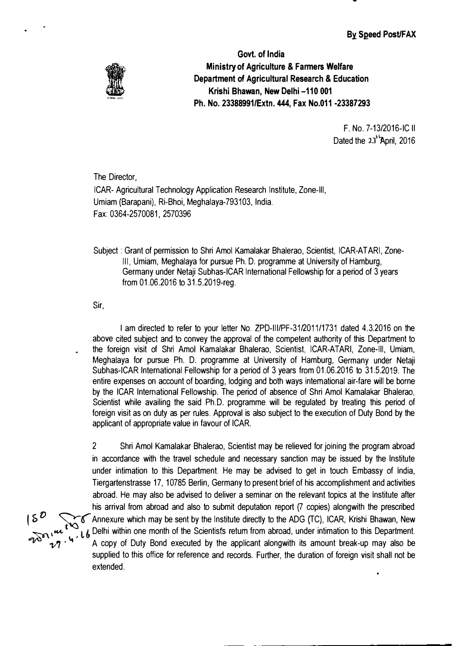**By Speed Post/FAX** 

•



**Govt. of India Ministry of Agriculture & Farmers Welfare Department of Agricultural Research & Education Krishi Bhawan, New Delhi-110 001 Ph. No. 23388991/Extn. 444, Fax No.011 -23387293** 

> F. No. 7-13/2016-IC II Dated the 21<sup>+</sup>April, 2016

The Director,

ICAR- Agricultural Technology Application Research Institute, Zone-Ill, Umiam (Barapani), Ri-Bhoi, Meghalaya-793103, India. Fax: 0364-2570081, 2570396

Subject : Grant of permission to Shri Amol Kamalakar Bhalerao, Scientist, ICAR-AT ARI, Zone-111, Umiam, Meghalaya for pursue Ph.D. programme at University of Hamburg, Germany under Netaji Subhas-lCAR International Fellowship for a period of 3 years from 01.06.2016 to 31.5.2019-reg.

Sir,

I am directed to refer to your letter No. ZPD-III/PF-31/2011/1731 dated 4.3.2016 on the above cited subject and to convey the approval of the competent authority of this Department to the foreign visit of Shri Amel Kamalakar Bhalerao, Scientist, ICAR-ATARI, Zone-Ill, Umiam, Meghalaya for pursue Ph. D. programme at University of Hamburg, Germany under Netaji Subhas-lCAR International Fellowship for a period of 3 years from 01.06.2016 to 31.5.2019. The entire expenses on account of boarding, lodging and both ways international air-fare will be borne by the ICAR International Fellowship. The period of absence of Shri Amel Kamalakar Bhalerao, Scientist while availing the said Ph.D. programme will be regulated by treating this period of foreign visit as on duty as per rules. Approval is also subject to the execution of Duty Bond by the applicant of appropriate value in favour of ICAR.

2 Shri Amel Kamalakar Bhalerao, Scientist may be relieved for joining the program abroad in accordance with the travel schedule and necessary sanction may be issued by the Institute under intimation to this Department. He may be advised to get in touch Embassy of India, Tiergartenstrasse 17, 10785 Berlin, Germany to present brief of his accomplishment and activities abroad. He may also be advised to deliver a seminar on the relevant topics at the Institute after his arrival from abroad and also to submit deputation report (7 copies) alongwith the prescribed ( 5 *() �('"* Annexure which may be sent by the Institute directly to the ADG (TC), ICAR, Krishi Bhawan, New  $\cdot_L$ , Delhi within one month of the Scientist's return from abroad, under intimation to this Department. A copy of Duty Bond executed by the applicant alongwith its amount break-up may also be supplied to this office for reference and records. Further, the duration of foreign visit shall not be extended.